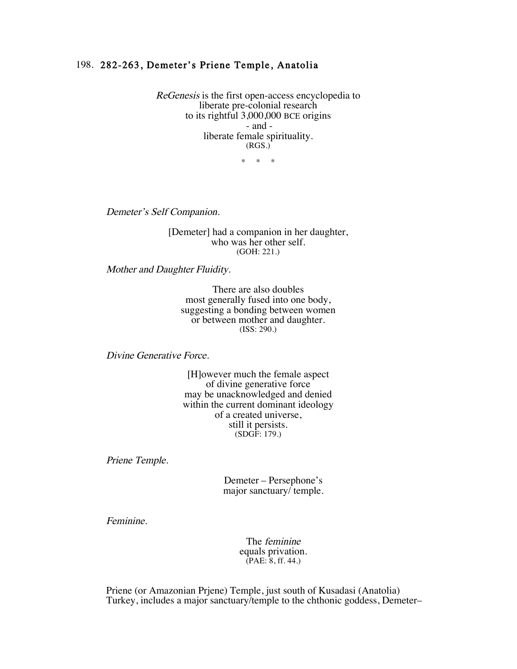## 198. 282-263, Demeter's Priene Temple, Anatolia

ReGenesis is the first open-access encyclopedia to liberate pre-colonial research to its rightful 3,000,000 BCE origins - and liberate female spirituality. (RGS.)

\* \* \*

Demeter's Self Companion.

[Demeter] had a companion in her daughter, who was her other self. (GOH: 221.)

Mother and Daughter Fluidity.

There are also doubles most generally fused into one body, suggesting a bonding between women or between mother and daughter. (ISS: 290.)

Divine Generative Force.

[H]owever much the female aspect of divine generative force may be unacknowledged and denied within the current dominant ideology of a created universe, still it persists. (SDGF: 179.)

Priene Temple.

Demeter – Persephone's major sanctuary/ temple.

Feminine.

The feminine equals privation. (PAE: 8, ff. 44.)

 Priene (or Amazonian Prjene) Temple, just south of Kusadasi (Anatolia) Turkey, includes a major sanctuary/temple to the chthonic goddess, Demeter–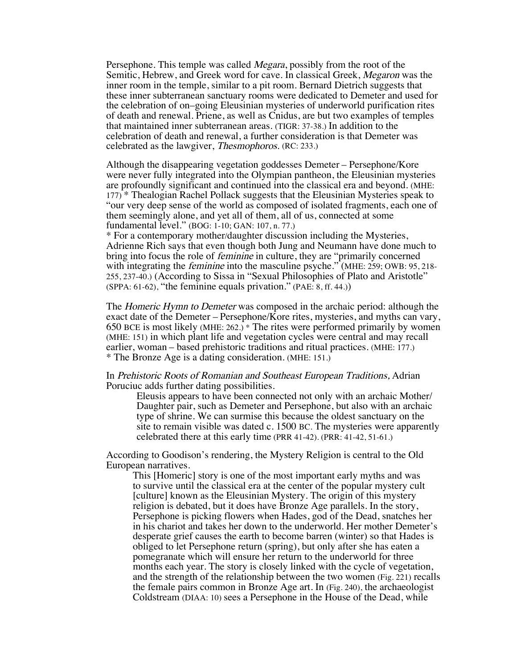Persephone. This temple was called *Megara*, possibly from the root of the Semitic, Hebrew, and Greek word for cave. In classical Greek, Megaron was the inner room in the temple, similar to a pit room. Bernard Dietrich suggests that these inner subterranean sanctuary rooms were dedicated to Demeter and used for the celebration of on–going Eleusinian mysteries of underworld purification rites of death and renewal. Priene, as well as Cnidus, are but two examples of temples that maintained inner subterranean areas. (TIGR: 37-38.) In addition to the celebration of death and renewal, a further consideration is that Demeter was celebrated as the lawgiver, Thesmophoros. (RC: 233.)

Although the disappearing vegetation goddesses Demeter – Persephone/Kore were never fully integrated into the Olympian pantheon, the Eleusinian mysteries are profoundly significant and continued into the classical era and beyond. (MHE: 177) \* Thealogian Rachel Pollack suggests that the Eleusinian Mysteries speak to "our very deep sense of the world as composed of isolated fragments, each one of them seemingly alone, and yet all of them, all of us, connected at some fundamental level." (BOG: 1-10; GAN: 107, n. 77.)

\* For a contemporary mother/daughter discussion including the Mysteries, Adrienne Rich says that even though both Jung and Neumann have done much to bring into focus the role of feminine in culture, they are "primarily concerned with integrating the *feminine* into the masculine psyche." (MHE: 259; OWB: 95, 218-255, 237-40.) (According to Sissa in "Sexual Philosophies of Plato and Aristotle" (SPPA: 61-62), "the feminine equals privation." (PAE: 8, ff. 44.))

The Homeric Hymn to Demeter was composed in the archaic period: although the exact date of the Demeter – Persephone/Kore rites, mysteries, and myths can vary, 650 BCE is most likely (MHE: 262.) \* The rites were performed primarily by women (MHE: 151) in which plant life and vegetation cycles were central and may recall earlier, woman – based prehistoric traditions and ritual practices. (MHE: 177.) \* The Bronze Age is a dating consideration. (MHE: 151.)

## In Prehistoric Roots of Romanian and Southeast European Traditions, Adrian Poruciuc adds further dating possibilities.

Eleusis appears to have been connected not only with an archaic Mother/ Daughter pair, such as Demeter and Persephone, but also with an archaic type of shrine. We can surmise this because the oldest sanctuary on the site to remain visible was dated c. 1500 BC. The mysteries were apparently celebrated there at this early time (PRR 41-42). (PRR: 41-42, 51-61.)

According to Goodison's rendering, the Mystery Religion is central to the Old European narratives.

This [Homeric] story is one of the most important early myths and was to survive until the classical era at the center of the popular mystery cult [culture] known as the Eleusinian Mystery. The origin of this mystery religion is debated, but it does have Bronze Age parallels. In the story, Persephone is picking flowers when Hades, god of the Dead, snatches her in his chariot and takes her down to the underworld. Her mother Demeter's desperate grief causes the earth to become barren (winter) so that Hades is obliged to let Persephone return (spring), but only after she has eaten a pomegranate which will ensure her return to the underworld for three months each year. The story is closely linked with the cycle of vegetation, and the strength of the relationship between the two women (Fig. 221) recalls the female pairs common in Bronze Age art. In (Fig. 240), the archaeologist Coldstream (DIAA: 10) sees a Persephone in the House of the Dead, while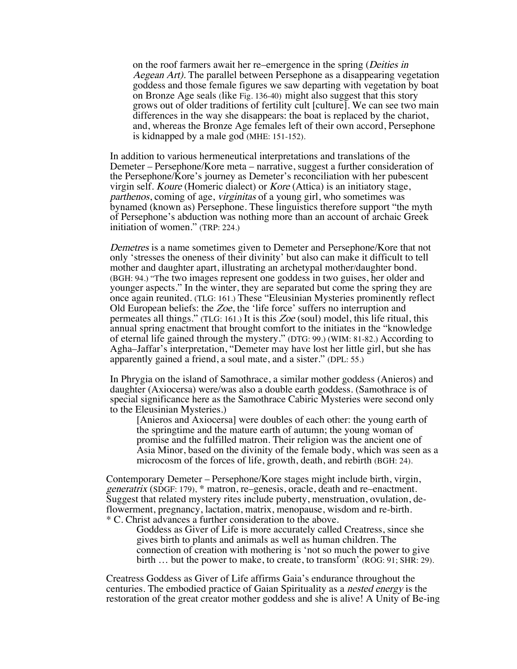on the roof farmers await her re–emergence in the spring (Deities in Aegean Art). The parallel between Persephone as a disappearing vegetation goddess and those female figures we saw departing with vegetation by boat on Bronze Age seals (like Fig. 136-40) might also suggest that this story grows out of older traditions of fertility cult [culture]. We can see two main differences in the way she disappears: the boat is replaced by the chariot, and, whereas the Bronze Age females left of their own accord, Persephone is kidnapped by a male god (MHE: 151-152).

In addition to various hermeneutical interpretations and translations of the Demeter – Persephone/Kore meta – narrative, suggest a further consideration of the Persephone/Kore's journey as Demeter's reconciliation with her pubescent virgin self. Koure (Homeric dialect) or Kore (Attica) is an initiatory stage, parthenos, coming of age, virginitas of a young girl, who sometimes was bynamed (known as) Persephone. These linguistics therefore support "the myth of Persephone's abduction was nothing more than an account of archaic Greek initiation of women." (TRP: 224.)

Demetres is a name sometimes given to Demeter and Persephone/Kore that not only 'stresses the oneness of their divinity' but also can make it difficult to tell mother and daughter apart, illustrating an archetypal mother/daughter bond. (BGH: 94.) "The two images represent one goddess in two guises, her older and younger aspects." In the winter, they are separated but come the spring they are once again reunited. (TLG: 161.) These "Eleusinian Mysteries prominently reflect Old European beliefs: the Zoe, the 'life force' suffers no interruption and permeates all things." (TLG: 161.) It is this  $Zoe$  (soul) model, this life ritual, this annual spring enactment that brought comfort to the initiates in the "knowledge of eternal life gained through the mystery." (DTG: 99.) (WIM: 81-82.) According to Agha–Jaffar's interpretation, "Demeter may have lost her little girl, but she has apparently gained a friend, a soul mate, and a sister." (DPL: 55.)

In Phrygia on the island of Samothrace, a similar mother goddess (Anieros) and daughter (Axiocersa) were/was also a double earth goddess. (Samothrace is of special significance here as the Samothrace Cabiric Mysteries were second only to the Eleusinian Mysteries.)

[Anieros and Axiocersa] were doubles of each other: the young earth of the springtime and the mature earth of autumn; the young woman of promise and the fulfilled matron. Their religion was the ancient one of Asia Minor, based on the divinity of the female body, which was seen as a microcosm of the forces of life, growth, death, and rebirth (BGH: 24).

Contemporary Demeter – Persephone/Kore stages might include birth, virgin, generatrix (SDGF: 179), \* matron, re–genesis, oracle, death and re–enactment. Suggest that related mystery rites include puberty, menstruation, ovulation, deflowerment, pregnancy, lactation, matrix, menopause, wisdom and re-birth. \* C. Christ advances a further consideration to the above.

Goddess as Giver of Life is more accurately called Creatress, since she gives birth to plants and animals as well as human children. The connection of creation with mothering is 'not so much the power to give birth … but the power to make, to create, to transform' (ROG: 91; SHR: 29).

Creatress Goddess as Giver of Life affirms Gaia's endurance throughout the centuries. The embodied practice of Gaian Spirituality as a nested energy is the restoration of the great creator mother goddess and she is alive! A Unity of Be-ing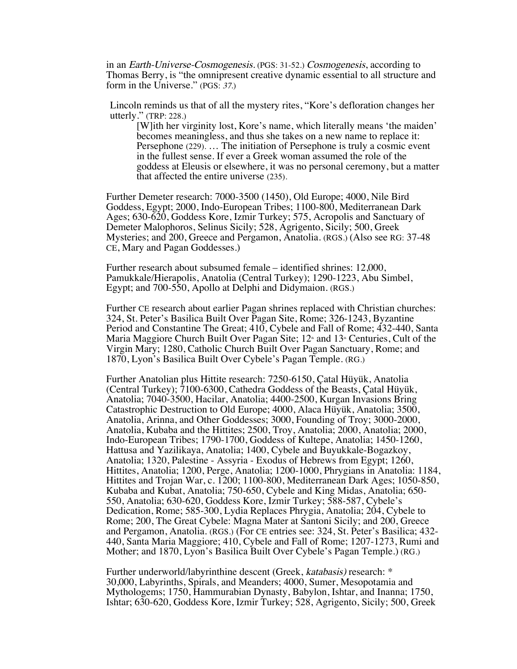in an Earth-Universe-Cosmogenesis. (PGS: 31-52.) Cosmogenesis, according to Thomas Berry, is "the omnipresent creative dynamic essential to all structure and form in the Universe." (PGS: 37.)

Lincoln reminds us that of all the mystery rites, "Kore's defloration changes her utterly." (TRP: 228.)

[W]ith her virginity lost, Kore's name, which literally means 'the maiden' becomes meaningless, and thus she takes on a new name to replace it: Persephone (229). … The initiation of Persephone is truly a cosmic event in the fullest sense. If ever a Greek woman assumed the role of the goddess at Eleusis or elsewhere, it was no personal ceremony, but a matter that affected the entire universe (235).

Further Demeter research: 7000-3500 (1450), Old Europe; 4000, Nile Bird Goddess, Egypt; 2000, Indo-European Tribes; 1100-800, Mediterranean Dark Ages; 630-620, Goddess Kore, Izmir Turkey; 575, Acropolis and Sanctuary of Demeter Malophoros, Selinus Sicily; 528, Agrigento, Sicily; 500, Greek Mysteries; and 200, Greece and Pergamon, Anatolia. (RGS.) (Also see RG: 37-48 CE, Mary and Pagan Goddesses.)

Further research about subsumed female – identified shrines: 12,000, Pamukkale/Hierapolis, Anatolia (Central Turkey); 1290-1223, Abu Simbel, Egypt; and 700-550, Apollo at Delphi and Didymaion. (RGS.)

Further CE research about earlier Pagan shrines replaced with Christian churches: 324, St. Peter's Basilica Built Over Pagan Site, Rome; 326-1243, Byzantine Period and Constantine The Great; 410, Cybele and Fall of Rome; 432-440, Santa Maria Maggiore Church Built Over Pagan Site;  $12<sup>th</sup>$  and  $13<sup>th</sup>$  Centuries, Cult of the Virgin Mary; 1280, Catholic Church Built Over Pagan Sanctuary, Rome; and 1870, Lyon's Basilica Built Over Cybele's Pagan Temple. (RG.)

Further Anatolian plus Hittite research: 7250-6150, Çatal Hüyük, Anatolia (Central Turkey); 7100-6300, Cathedra Goddess of the Beasts, Çatal Hüyük, Anatolia; 7040-3500, Hacilar, Anatolia; 4400-2500, Kurgan Invasions Bring Catastrophic Destruction to Old Europe; 4000, Alaca Hüyük, Anatolia; 3500, Anatolia, Arinna, and Other Goddesses; 3000, Founding of Troy; 3000-2000, Anatolia, Kubaba and the Hittites; 2500, Troy, Anatolia; 2000, Anatolia; 2000, Indo-European Tribes; 1790-1700, Goddess of Kultepe, Anatolia; 1450-1260, Hattusa and Yazilikaya, Anatolia; 1400, Cybele and Buyukkale-Bogazkoy, Anatolia; 1320, Palestine - Assyria - Exodus of Hebrews from Egypt; 1260, Hittites, Anatolia; 1200, Perge, Anatolia; 1200-1000, Phrygians in Anatolia: 1184, Hittites and Trojan War, c. 1200; 1100-800, Mediterranean Dark Ages; 1050-850, Kubaba and Kubat, Anatolia; 750-650, Cybele and King Midas, Anatolia; 650- 550, Anatolia; 630-620, Goddess Kore, Izmir Turkey; 588-587, Cybele's Dedication, Rome; 585-300, Lydia Replaces Phrygia, Anatolia; 204, Cybele to Rome; 200, The Great Cybele: Magna Mater at Santoni Sicily; and 200, Greece and Pergamon, Anatolia. (RGS.) (For CE entries see: 324, St. Peter's Basilica; 432- 440, Santa Maria Maggiore; 410, Cybele and Fall of Rome; 1207-1273, Rumi and Mother; and 1870, Lyon's Basilica Built Over Cybele's Pagan Temple.) (RG.)

Further underworld/labyrinthine descent (Greek, katabasis) research: \* 30,000, Labyrinths, Spirals, and Meanders; 4000, Sumer, Mesopotamia and Mythologems; 1750, Hammurabian Dynasty, Babylon, Ishtar, and Inanna; 1750, Ishtar; 630-620, Goddess Kore, Izmir Turkey; 528, Agrigento, Sicily; 500, Greek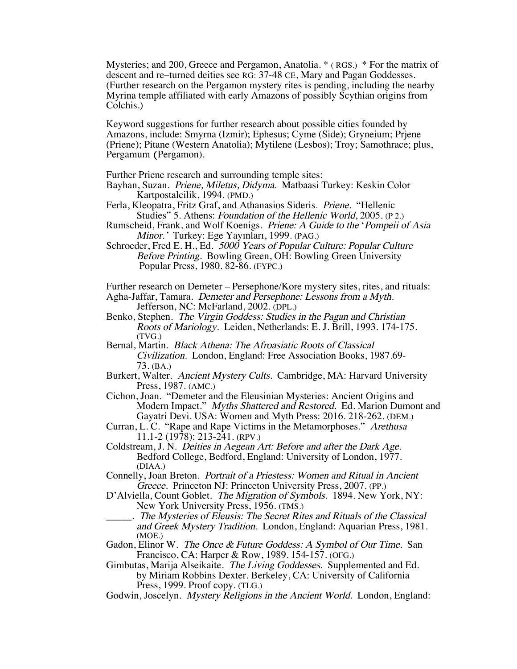Mysteries; and 200, Greece and Pergamon, Anatolia. \* ( RGS.) \* For the matrix of descent and re–turned deities see RG: 37-48 CE, Mary and Pagan Goddesses. (Further research on the Pergamon mystery rites is pending, including the nearby Myrina temple affiliated with early Amazons of possibly Scythian origins from Colchis.)

Keyword suggestions for further research about possible cities founded by Amazons, include: Smyrna (Izmir); Ephesus; Cyme (Side); Gryneium; Prjene (Priene); Pitane (Western Anatolia); Mytilene (Lesbos); Troy; Samothrace; plus, Pergamum (Pergamon).

Further Priene research and surrounding temple sites:

Bayhan, Suzan. Priene, Miletus, Didyma. Matbaasi Turkey: Keskin Color Kartpostalcilik, 1994. (PMD.)

Ferla, Kleopatra, Fritz Graf, and Athanasios Sideris. Priene. "Hellenic Studies" 5. Athens: Foundation of the Hellenic World, 2005. (P 2.)

Rumscheid, Frank, and Wolf Koenigs. Priene: A Guide to the 'Pompeii of Asia Minor.' Turkey: Ege Yayınları, 1999. (PAG.)

Schroeder, Fred E. H., Ed. 5000 Years of Popular Culture: Popular Culture Before Printing. Bowling Green, OH: Bowling Green University Popular Press, 1980. 82-86. (FYPC.)

Further research on Demeter – Persephone/Kore mystery sites, rites, and rituals:

- Agha-Jaffar, Tamara. Demeter and Persephone: Lessons from a Myth. Jefferson, NC: McFarland, 2002. (DPL.)
- Benko, Stephen. The Virgin Goddess: Studies in the Pagan and Christian Roots of Mariology. Leiden, Netherlands: E. J. Brill, 1993. 174-175. (TVG.)
- Bernal, Martin. Black Athena: The Afroasiatic Roots of Classical Civilization. London, England: Free Association Books, 1987.69- 73. (BA.)
- Burkert, Walter. Ancient Mystery Cults. Cambridge, MA: Harvard University Press, 1987. (AMC.)
- Cichon, Joan. "Demeter and the Eleusinian Mysteries: Ancient Origins and Modern Impact." Myths Shattered and Restored. Ed. Marion Dumont and Gayatri Devi. USA: Women and Myth Press: 2016. 218-262. (DEM.)
- Curran, L. C. "Rape and Rape Victims in the Metamorphoses." Arethusa 11.1-2 (1978): 213-241. (RPV.)

Coldstream, J. N. Deities in Aegean Art: Before and after the Dark Age. Bedford College, Bedford, England: University of London, 1977. (DIAA.)

- Connelly, Joan Breton. Portrait of a Priestess: Women and Ritual in Ancient Greece. Princeton NJ: Princeton University Press, 2007. (PP.)
- D'Alviella, Count Goblet. The Migration of Symbols. 1894. New York, NY: New York University Press, 1956. (TMS.)
- \_\_\_\_\_. The Mysteries of Eleusis: The Secret Rites and Rituals of the Classical and Greek Mystery Tradition. London, England: Aquarian Press, 1981. (MOE.)
- Gadon, Elinor W. The Once & Future Goddess: A Symbol of Our Time. San Francisco, CA: Harper & Row, 1989. 154-157. (OFG.)

Gimbutas, Marija Alseikaite. The Living Goddesses. Supplemented and Ed. by Miriam Robbins Dexter. Berkeley, CA: University of California Press, 1999. Proof copy. (TLG.)

Godwin, Joscelyn. Mystery Religions in the Ancient World. London, England: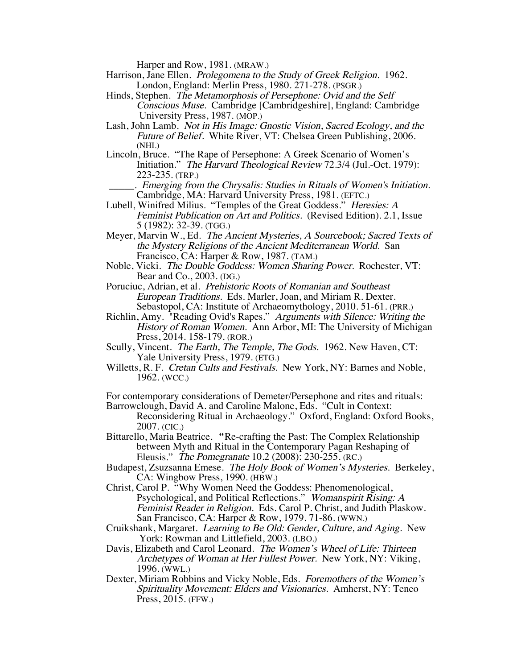Harper and Row, 1981. (MRAW.)

- Harrison, Jane Ellen. Prolegomena to the Study of Greek Religion. 1962. London, England: Merlin Press, 1980. 271-278. (PSGR.)
- Hinds, Stephen. The Metamorphosis of Persephone: Ovid and the Self Conscious Muse. Cambridge [Cambridgeshire], England: Cambridge University Press, 1987. (MOP.)
- Lash, John Lamb. Not in His Image: Gnostic Vision, Sacred Ecology, and the Future of Belief. White River, VT: Chelsea Green Publishing, 2006. (NHI.)
- Lincoln, Bruce. "The Rape of Persephone: A Greek Scenario of Women's Initiation." The Harvard Theological Review 72.3/4 (Jul.-Oct. 1979): 223-235. (TRP.)
	- \_\_\_\_\_. Emerging from the Chrysalis: Studies in Rituals of Women's Initiation. Cambridge, MA: Harvard University Press, 1981. (EFTC.)
- Lubell, Winifred Milius. "Temples of the Great Goddess." Heresies: A Feminist Publication on Art and Politics. (Revised Edition). 2.1, Issue 5 (1982): 32-39. (TGG.)
- Meyer, Marvin W., Ed. The Ancient Mysteries, A Sourcebook; Sacred Texts of the Mystery Religions of the Ancient Mediterranean World. San Francisco, CA: Harper & Row, 1987. (TAM.)
- Noble, Vicki. The Double Goddess: Women Sharing Power. Rochester, VT: Bear and Co., 2003. (DG.)

Poruciuc, Adrian, et al. Prehistoric Roots of Romanian and Southeast European Traditions. Eds. Marler, Joan, and Miriam R. Dexter. Sebastopol, CA: Institute of Archaeomythology, 2010. 51-61. (PRR.)

- Richlin, Amy. "Reading Ovid's Rapes." Arguments with Silence: Writing the History of Roman Women. Ann Arbor, MI: The University of Michigan Press, 2014. 158-179. (ROR.)
- Scully, Vincent. The Earth, The Temple, The Gods. 1962. New Haven, CT: Yale University Press, 1979. (ETG.)
- Willetts, R. F. Cretan Cults and Festivals. New York, NY: Barnes and Noble, 1962. (WCC.)

For contemporary considerations of Demeter/Persephone and rites and rituals: Barrowclough, David A. and Caroline Malone, Eds. "Cult in Context:

- Reconsidering Ritual in Archaeology." Oxford, England: Oxford Books, 2007. (CIC.)
- Bittarello, Maria Beatrice. "Re-crafting the Past: The Complex Relationship between Myth and Ritual in the Contemporary Pagan Reshaping of Eleusis." The Pomegranate 10.2 (2008): 230-255. (RC.)
- Budapest, Zsuzsanna Emese. The Holy Book of Women's Mysteries. Berkeley, CA: Wingbow Press, 1990. (HBW.)
- Christ, Carol P. "Why Women Need the Goddess: Phenomenological, Psychological, and Political Reflections." Womanspirit Rising: A Feminist Reader in Religion. Eds. Carol P. Christ, and Judith Plaskow. San Francisco, CA: Harper & Row, 1979. 71-86. (WWN.)
- Cruikshank, Margaret. Learning to Be Old: Gender, Culture, and Aging. New York: Rowman and Littlefield, 2003. (LBO.)
- Davis, Elizabeth and Carol Leonard. The Women's Wheel of Life: Thirteen Archetypes of Woman at Her Fullest Power. New York, NY: Viking, 1996. (WWL.)
- Dexter, Miriam Robbins and Vicky Noble, Eds. Foremothers of the Women's Spirituality Movement: Elders and Visionaries. Amherst, NY: Teneo Press, 2015. (FFW.)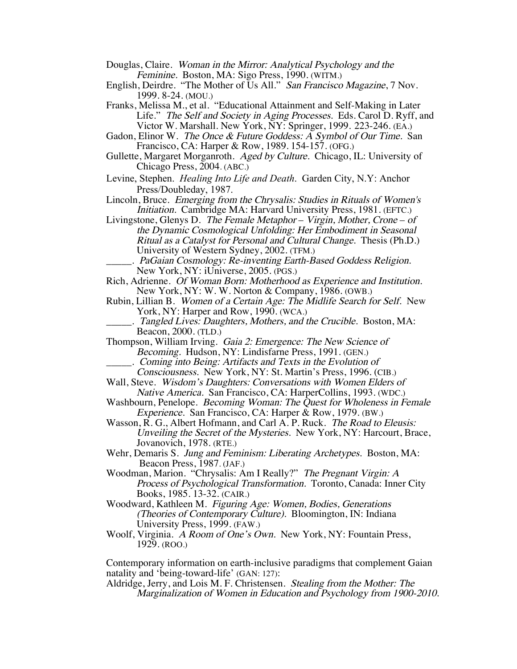- Douglas, Claire. Woman in the Mirror: Analytical Psychology and the Feminine. Boston, MA: Sigo Press, 1990. (WITM.)
- English, Deirdre. "The Mother of Us All." San Francisco Magazine, 7 Nov. 1999. 8-24. (MOU.)
- Franks, Melissa M., et al. "Educational Attainment and Self-Making in Later Life." The Self and Society in Aging Processes. Eds. Carol D. Ryff, and Victor W. Marshall. New York, NY: Springer, 1999. 223-246. (EA.)
- Gadon, Elinor W. The Once & Future Goddess: A Symbol of Our Time. San Francisco, CA: Harper & Row, 1989. 154-157. (OFG.)
- Gullette, Margaret Morganroth. Aged by Culture. Chicago, IL: University of Chicago Press, 2004. (ABC.)
- Levine, Stephen. *Healing Into Life and Death*. Garden City, N.Y: Anchor Press/Doubleday, 1987.
- Lincoln, Bruce. Emerging from the Chrysalis: Studies in Rituals of Women's Initiation. Cambridge MA: Harvard University Press, 1981. (EFTC.)
- Livingstone, Glenys D. The Female Metaphor Virgin, Mother, Crone of the Dynamic Cosmological Unfolding: Her Embodiment in Seasonal Ritual as a Catalyst for Personal and Cultural Change. Thesis (Ph.D.) University of Western Sydney, 2002. (TFM.)
	- . PaGaian Cosmology: Re-inventing Earth-Based Goddess Religion. New York, NY: iUniverse, 2005. (PGS.)
- Rich, Adrienne. Of Woman Born: Motherhood as Experience and Institution. New York, NY: W. W. Norton & Company, 1986. (OWB.)
- Rubin, Lillian B. Women of a Certain Age: The Midlife Search for Self. New York, NY: Harper and Row, 1990. (WCA.)
- . Tangled Lives: Daughters, Mothers, and the Crucible. Boston, MA: Beacon, 2000. (TLD.)
- Thompson, William Irving. Gaia 2: Emergence: The New Science of Becoming. Hudson, NY: Lindisfarne Press, 1991. (GEN.)
	- \_\_\_\_\_. Coming into Being: Artifacts and Texts in the Evolution of
	- Consciousness. New York, NY: St. Martin's Press, 1996. (CIB.)
- Wall, Steve. Wisdom's Daughters: Conversations with Women Elders of Native America. San Francisco, CA: HarperCollins, 1993. (WDC.)
- Washbourn, Penelope. *Becoming Woman: The Quest for Wholeness in Female* Experience. San Francisco, CA: Harper & Row, 1979. (BW.)
- Wasson, R. G., Albert Hofmann, and Carl A. P. Ruck. *The Road to Eleusis:* Unveiling the Secret of the Mysteries. New York, NY: Harcourt, Brace, Jovanovich, 1978. (RTE.)
- Wehr, Demaris S. Jung and Feminism: Liberating Archetypes. Boston, MA: Beacon Press, 1987. (JAF.)
- Woodman, Marion. "Chrysalis: Am I Really?" The Pregnant Virgin: A Process of Psychological Transformation. Toronto, Canada: Inner City Books, 1985. 13-32. (CAIR.)
- Woodward, Kathleen M. Figuring Age: Women, Bodies, Generations (Theories of Contemporary Culture). Bloomington, IN: Indiana University Press, 1999. (FAW.)
- Woolf, Virginia. A Room of One's Own. New York, NY: Fountain Press, 1929. (ROO.)

Contemporary information on earth-inclusive paradigms that complement Gaian natality and 'being-toward-life' (GAN: 127):

Aldridge, Jerry, and Lois M. F. Christensen. Stealing from the Mother: The Marginalization of Women in Education and Psychology from 1900-2010.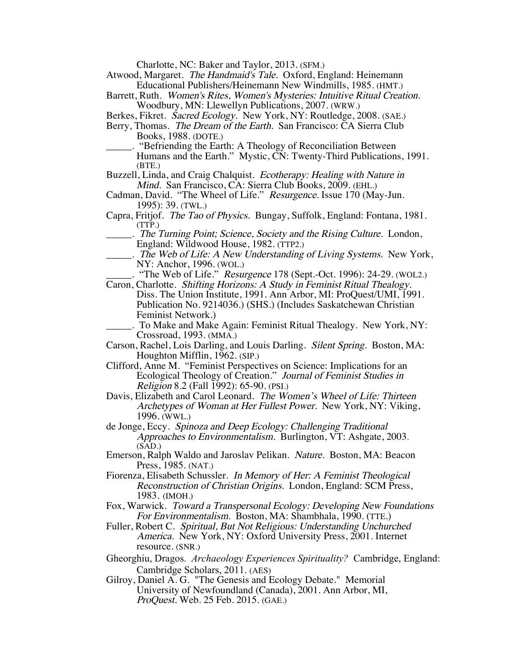Charlotte, NC: Baker and Taylor, 2013. (SFM.)

Atwood, Margaret. The Handmaid's Tale. Oxford, England: Heinemann Educational Publishers/Heinemann New Windmills, 1985. (HMT.)

- Barrett, Ruth. Women's Rites, Women's Mysteries: Intuitive Ritual Creation. Woodbury, MN: Llewellyn Publications, 2007. (WRW.)
- Berkes, Fikret. Sacred Ecology. New York, NY: Routledge, 2008. (SAE.)
- Berry, Thomas. The Dream of the Earth. San Francisco: CA Sierra Club Books, 1988. (DOTE.)

\_\_\_\_\_. "Befriending the Earth: A Theology of Reconciliation Between Humans and the Earth." Mystic, CN: Twenty-Third Publications, 1991. (BTE.)

Buzzell, Linda, and Craig Chalquist. Ecotherapy: Healing with Nature in Mind. San Francisco, CA: Sierra Club Books, 2009. (EHL.)

- Cadman, David. "The Wheel of Life." Resurgence. Issue 170 (May-Jun. 1995): 39. (TWL.)
- Capra, Fritjof. The Tao of Physics. Bungay, Suffolk, England: Fontana, 1981. (TTP.)

. The Turning Point; Science, Society and the Rising Culture. London, England: Wildwood House, 1982. (TTP2.)

- \_\_\_\_\_. The Web of Life: A New Understanding of Living Systems. New York, NY: Anchor, 1996. (WOL.)
- "The Web of Life." Resurgence 178 (Sept.-Oct. 1996): 24-29. (WOL2.)
- Caron, Charlotte. Shifting Horizons: A Study in Feminist Ritual Thealogy. Diss. The Union Institute, 1991. Ann Arbor, MI: ProQuest/UMI, 1991. Publication No. 9214036.) (SHS.) (Includes Saskatchewan Christian Feminist Network.)
	- \_\_\_\_\_. To Make and Make Again: Feminist Ritual Thealogy. New York, NY: Crossroad, 1993. (MMA.)
- Carson, Rachel, Lois Darling, and Louis Darling. Silent Spring. Boston, MA: Houghton Mifflin, 1962. (SIP.)
- Clifford, Anne M. "Feminist Perspectives on Science: Implications for an Ecological Theology of Creation." Journal of Feminist Studies in Religion 8.2 (Fall 1992): 65-90. (PSI.)
- Davis, Elizabeth and Carol Leonard. The Women's Wheel of Life: Thirteen Archetypes of Woman at Her Fullest Power. New York, NY: Viking, 1996. (WWL.)
- de Jonge, Eccy. Spinoza and Deep Ecology: Challenging Traditional Approaches to Environmentalism. Burlington, VT: Ashgate, 2003.  $(SAD.)$
- Emerson, Ralph Waldo and Jaroslav Pelikan. Nature. Boston, MA: Beacon Press, 1985. (NAT.)
- Fiorenza, Elisabeth Schussler. In Memory of Her: A Feminist Theological Reconstruction of Christian Origins. London, England: SCM Press, 1983. (IMOH.)
- Fox, Warwick. Toward a Transpersonal Ecology: Developing New Foundations For Environmentalism. Boston, MA: Shambhala, 1990. (TTE.)
- Fuller, Robert C. Spiritual, But Not Religious: Understanding Unchurched America. New York, NY: Oxford University Press, 2001. Internet resource. (SNR.)
- Gheorghiu, Dragos. *Archaeology Experiences Spirituality?* Cambridge, England: Cambridge Scholars, 2011. (AES)
- Gilroy, Daniel A. G. "The Genesis and Ecology Debate." Memorial University of Newfoundland (Canada), 2001. Ann Arbor, MI, ProQuest. Web. 25 Feb. 2015. (GAE.)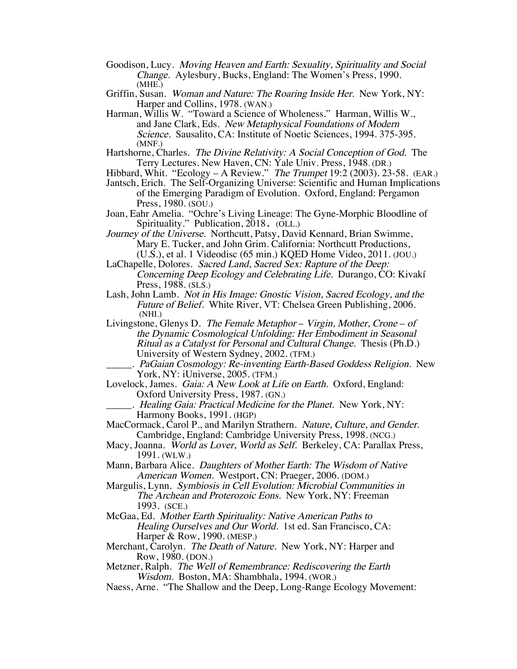- Goodison, Lucy. Moving Heaven and Earth: Sexuality, Spirituality and Social Change. Aylesbury, Bucks, England: The Women's Press, 1990. (MHE.)
- Griffin, Susan. Woman and Nature: The Roaring Inside Her. New York, NY: Harper and Collins, 1978. (WAN.)
- Harman, Willis W. "Toward a Science of Wholeness." Harman, Willis W., and Jane Clark, Eds. New Metaphysical Foundations of Modern Science. Sausalito, CA: Institute of Noetic Sciences, 1994. 375-395. (MNF.)
- Hartshorne, Charles. The Divine Relativity: A Social Conception of God. The Terry Lectures. New Haven, CN: Yale Univ. Press, 1948. (DR.)
- Hibbard, Whit. "Ecology A Review." The Trumpet 19:2 (2003). 23-58. (EAR.)
- Jantsch, Erich. The Self-Organizing Universe: Scientific and Human Implications of the Emerging Paradigm of Evolution. Oxford, England: Pergamon Press, 1980. (SOU.)
- Joan, Eahr Amelia. "Ochre's Living Lineage: The Gyne-Morphic Bloodline of Spirituality." Publication, 2018. (OLL.)

Journey of the Universe. Northcutt, Patsy, David Kennard, Brian Swimme, Mary E. Tucker, and John Grim. California: Northcutt Productions, (U.S.), et al. 1 Videodisc (65 min.) KQED Home Video, 2011. (JOU.)

- LaChapelle, Dolores. Sacred Land, Sacred Sex: Rapture of the Deep: Concerning Deep Ecology and Celebrating Life. Durango, CO: Kivakí Press, 1988. (SLS.)
- Lash, John Lamb. Not in His Image: Gnostic Vision, Sacred Ecology, and the Future of Belief. White River, VT: Chelsea Green Publishing, 2006. (NHI.)
- Livingstone, Glenys D. The Female Metaphor Virgin, Mother, Crone of the Dynamic Cosmological Unfolding: Her Embodiment in Seasonal Ritual as a Catalyst for Personal and Cultural Change. Thesis (Ph.D.) University of Western Sydney, 2002. (TFM.)
- PaGaian Cosmology: Re-inventing Earth-Based Goddess Religion. New York, NY: iUniverse, 2005. (TFM.)
- Lovelock, James. Gaia: A New Look at Life on Earth. Oxford, England: Oxford University Press, 1987. (GN.)
	- . Healing Gaia: Practical Medicine for the Planet. New York, NY: Harmony Books, 1991. (HGP)
- MacCormack, Carol P., and Marilyn Strathern. Nature, Culture, and Gender. Cambridge, England: Cambridge University Press, 1998. (NCG.)
- Macy, Joanna. World as Lover, World as Self. Berkeley, CA: Parallax Press, 1991. (WLW.)
- Mann, Barbara Alice. Daughters of Mother Earth: The Wisdom of Native American Women. Westport, CN: Praeger, 2006. (DOM.)

Margulis, Lynn. Symbiosis in Cell Evolution: Microbial Communities in The Archean and Proterozoic Eons. New York, NY: Freeman 1993. (SCE.)

McGaa, Ed. Mother Earth Spirituality: Native American Paths to Healing Ourselves and Our World. 1st ed. San Francisco, CA: Harper & Row, 1990. (MESP.)

Merchant, Carolyn. The Death of Nature. New York, NY: Harper and Row, 1980. (DON.)

Metzner, Ralph. The Well of Remembrance: Rediscovering the Earth Wisdom. Boston, MA: Shambhala, 1994. (WOR.)

Naess, Arne. "The Shallow and the Deep, Long-Range Ecology Movement: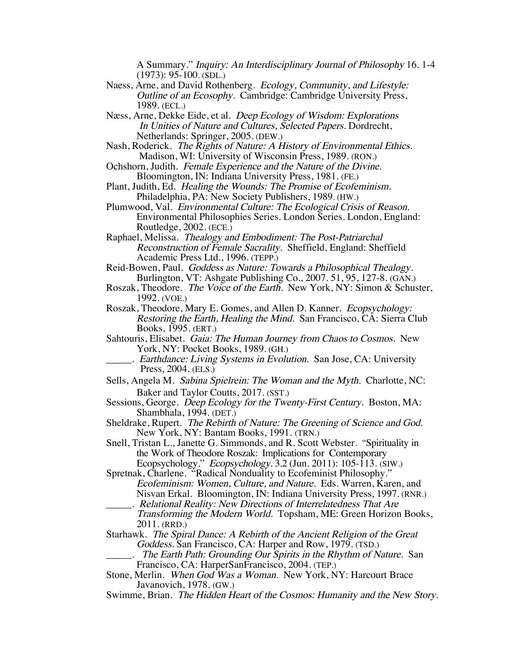A Summary." Inquiry: An Interdisciplinary Journal of Philosophy 16. 1-4 (1973): 95-100. (SDL.)

- Naess, Arne, and David Rothenberg. Ecology, Community, and Lifestyle: Outline of an Ecosophy. Cambridge: Cambridge University Press, 1989. (ECL.)
- Næss, Arne, Dekke Eide, et al. Deep Ecology of Wisdom: Explorations In Unities of Nature and Cultures, Selected Papers. Dordrecht, Netherlands: Springer, 2005. (DEW.)
- Nash, Roderick. The Rights of Nature: A History of Environmental Ethics. Madison, WI: University of Wisconsin Press, 1989. (RON.)
- Ochshorn, Judith. Female Experience and the Nature of the Divine. Bloomington, IN: Indiana University Press, 1981. (FE.)
- Plant, Judith, Ed. Healing the Wounds: The Promise of Ecofeminism. Philadelphia, PA: New Society Publishers, 1989. (HW.)
- Plumwood, Val. Environmental Culture: The Ecological Crisis of Reason. Environmental Philosophies Series. London Series. London, England: Routledge, 2002. (ECE.)
- Raphael, Melissa. Thealogy and Embodiment: The Post-Patriarchal Reconstruction of Female Sacrality. Sheffield, England: Sheffield Academic Press Ltd., 1996. (TEPP.)
- Reid-Bowen, Paul. Goddess as Nature: Towards a Philosophical Thealogy. Burlington, VT: Ashgate Publishing Co., 2007. 51, 95, 127-8. (GAN.)
- Roszak, Theodore. The Voice of the Earth. New York, NY: Simon & Schuster, 1992. (VOE.)
- Roszak, Theodore, Mary E. Gomes, and Allen D. Kanner. Ecopsychology: Restoring the Earth, Healing the Mind. San Francisco, CA: Sierra Club Books, 1995. (ERT.)
- Sahtouris, Elisabet. Gaia: The Human Journey from Chaos to Cosmos. New York, NY: Pocket Books, 1989. (GH.)
- Earthdance: Living Systems in Evolution. San Jose, CA: University Press, 2004. (ELS.)
- Sells, Angela M. Sabina Spielrein: The Woman and the Myth. Charlotte, NC: Baker and Taylor Coutts, 2017. (SST.)
- Sessions, George. *Deep Ecology for the Twenty-First Century*. Boston, MA: Shambhala, 1994. (DET.)
- Sheldrake, Rupert. The Rebirth of Nature: The Greening of Science and God. New York, NY: Bantam Books, 1991. (TRN.)
- Snell, Tristan L., Janette G. Simmonds, and R. Scott Webster. "Spirituality in the Work of Theodore Roszak: Implications for Contemporary Ecopsychology." Ecopsychology. 3.2 (Jun. 2011): 105-113. (SIW.)
- Spretnak, Charlene. "Radical Nonduality to Ecofeminist Philosophy." Ecofeminism: Women, Culture, and Nature. Eds. Warren, Karen, and Nisvan Erkal. Bloomington, IN: Indiana University Press, 1997. (RNR.)
	- \_\_\_\_\_. Relational Reality: New Directions of Interrelatedness That Are
	- Transforming the Modern World. Topsham, ME: Green Horizon Books, 2011. (RRD.)
- Starhawk. The Spiral Dance: A Rebirth of the Ancient Religion of the Great Goddess. San Francisco, CA: Harper and Row, 1979. (TSD.)
- The Earth Path: Grounding Our Spirits in the Rhythm of Nature. San Francisco, CA: HarperSanFrancisco, 2004. (TEP.)
- Stone, Merlin. When God Was a Woman. New York, NY: Harcourt Brace Javanovich, 1978. (GW.)
- Swimme, Brian. The Hidden Heart of the Cosmos: Humanity and the New Story.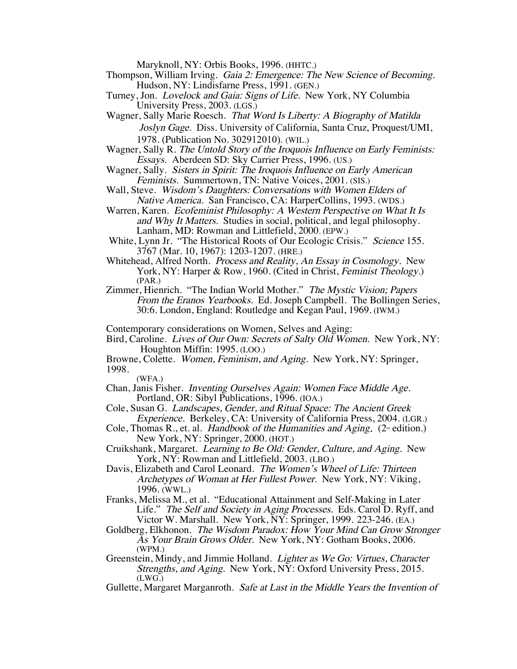Maryknoll, NY: Orbis Books, 1996. (HHTC.)

- Thompson, William Irving. Gaia 2: Emergence: The New Science of Becoming. Hudson, NY: Lindisfarne Press, 1991. (GEN.)
- Turney, Jon. Lovelock and Gaia: Signs of Life. New York, NY Columbia University Press, 2003. (LGS.)
- Wagner, Sally Marie Roesch. That Word Is Liberty: A Biography of Matilda Joslyn Gage. Diss. University of California, Santa Cruz, Proquest/UMI, 1978. (Publication No. 302912010). (WIL.)
- Wagner, Sally R. The Untold Story of the Iroquois Influence on Early Feminists: Essays. Aberdeen SD: Sky Carrier Press, 1996. (US.)
- Wagner, Sally. Sisters in Spirit: The Iroquois Influence on Early American Feminists. Summertown, TN: Native Voices, 2001. (SIS.)
- Wall, Steve. Wisdom's Daughters: Conversations with Women Elders of Native America. San Francisco, CA: HarperCollins, 1993. (WDS.)
- Warren, Karen. Ecofeminist Philosophy: A Western Perspective on What It Is and Why It Matters. Studies in social, political, and legal philosophy. Lanham, MD: Rowman and Littlefield, 2000. (EPW.)
- White, Lynn Jr. "The Historical Roots of Our Ecologic Crisis." Science 155. 3767 (Mar. 10, 1967): 1203-1207. (HRE.)
- Whitehead, Alfred North. Process and Reality, An Essay in Cosmology. New York, NY: Harper & Row, 1960. (Cited in Christ, Feminist Theology.) (PAR.)
- Zimmer, Hienrich. "The Indian World Mother." The Mystic Vision; Papers From the Eranos Yearbooks. Ed. Joseph Campbell. The Bollingen Series, 30:6. London, England: Routledge and Kegan Paul, 1969. (IWM.)

Contemporary considerations on Women, Selves and Aging:

- Bird, Caroline. Lives of Our Own: Secrets of Salty Old Women. New York, NY: Houghton Miffin: 1995. (LOO.)
- Browne, Colette. Women, Feminism, and Aging. New York, NY: Springer, 1998.
	- (WFA.)
- Chan, Janis Fisher. Inventing Ourselves Again: Women Face Middle Age. Portland, OR: Sibyl Publications, 1996. (IOA.)
- Cole, Susan G. Landscapes, Gender, and Ritual Space: The Ancient Greek Experience. Berkeley, CA: University of California Press, 2004. (LGR.)
- Cole, Thomas R., et. al. Handbook of the Humanities and Aging. ( $2^{\omega}$  edition.) New York, NY: Springer, 2000. (HOT.)
- Cruikshank, Margaret. Learning to Be Old: Gender, Culture, and Aging. New York, NY: Rowman and Littlefield, 2003. (LBO.)
- Davis, Elizabeth and Carol Leonard. The Women's Wheel of Life: Thirteen Archetypes of Woman at Her Fullest Power. New York, NY: Viking, 1996. (WWL.)
- Franks, Melissa M., et al. "Educational Attainment and Self-Making in Later Life." The Self and Society in Aging Processes. Eds. Carol D. Ryff, and Victor W. Marshall. New York, NY: Springer, 1999. 223-246. (EA.)
- Goldberg, Elkhonon. The Wisdom Paradox: How Your Mind Can Grow Stronger As Your Brain Grows Older. New York, NY: Gotham Books, 2006. (WPM.)
- Greenstein, Mindy, and Jimmie Holland. *Lighter as We Go: Virtues, Character* Strengths, and Aging. New York, NY: Oxford University Press, 2015. (LWG.)
- Gullette, Margaret Marganroth. Safe at Last in the Middle Years the Invention of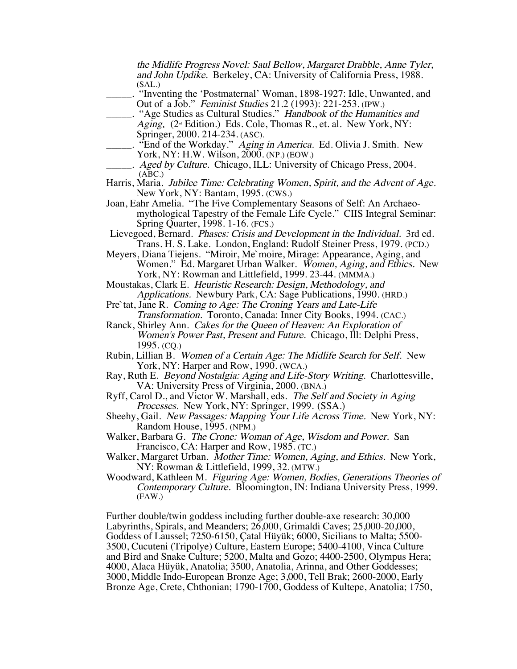the Midlife Progress Novel: Saul Bellow, Margaret Drabble, Anne Tyler, and John Updike. Berkeley, CA: University of California Press, 1988. (SAL.)

- \_\_\_\_\_. "Inventing the 'Postmaternal' Woman, 1898-1927: Idle, Unwanted, and Out of a Job." Feminist Studies 21.2 (1993): 221-253. (IPW.)
	- \_\_\_\_\_. "Age Studies as Cultural Studies." Handbook of the Humanities and Aging. ( $2^{\omega}$  Edition.) Eds. Cole, Thomas R., et. al. New York, NY: Springer, 2000. 214-234. (ASC).
	- . "End of the Workday." Aging in America. Ed. Olivia J. Smith. New York, NY: H.W. Wilson, 2000. (NP.) (EOW.)
	- Aged by Culture. Chicago, ILL: University of Chicago Press, 2004.  $(ABC.)$
- Harris, Maria. Jubilee Time: Celebrating Women, Spirit, and the Advent of Age. New York, NY: Bantam, 1995. (CWS.)
- Joan, Eahr Amelia. "The Five Complementary Seasons of Self: An Archaeomythological Tapestry of the Female Life Cycle." CIIS Integral Seminar: Spring Quarter, 1998. 1-16. (FCS.)
- Lievegoed, Bernard. Phases: Crisis and Development in the Individual. 3rd ed. Trans. H. S. Lake. London, England: Rudolf Steiner Press, 1979. (PCD.)
- Meyers, Diana Tiejens. "Miroir, Me`moire, Mirage: Appearance, Aging, and Women." Ed. Margaret Urban Walker. Women, Aging, and Ethics. New York, NY: Rowman and Littlefield, 1999. 23-44. (MMMA.)
- Moustakas, Clark E. Heuristic Research: Design, Methodology, and Applications. Newbury Park, CA: Sage Publications, 1990. (HRD.)
- Pre`tat, Jane R. Coming to Age: The Croning Years and Late-Life Transformation. Toronto, Canada: Inner City Books, 1994. (CAC.)
- Ranck, Shirley Ann. Cakes for the Queen of Heaven: An Exploration of Women's Power Past, Present and Future. Chicago, Ill: Delphi Press, 1995. (CQ.)
- Rubin, Lillian B. Women of a Certain Age: The Midlife Search for Self. New York, NY: Harper and Row, 1990. (WCA.)
- Ray, Ruth E. Beyond Nostalgia: Aging and Life-Story Writing. Charlottesville, VA: University Press of Virginia, 2000. (BNA.)
- Ryff, Carol D., and Victor W. Marshall, eds. The Self and Society in Aging Processes. New York, NY: Springer, 1999. (SSA.)
- Sheehy, Gail. New Passages: Mapping Your Life Across Time. New York, NY: Random House, 1995. (NPM.)
- Walker, Barbara G. The Crone: Woman of Age, Wisdom and Power. San Francisco, CA: Harper and Row, 1985. (TC.)
- Walker, Margaret Urban. Mother Time: Women, Aging, and Ethics. New York, NY: Rowman & Littlefield, 1999, 32. (MTW.)
- Woodward, Kathleen M. Figuring Age: Women, Bodies, Generations Theories of Contemporary Culture. Bloomington, IN: Indiana University Press, 1999. (FAW.)

Further double/twin goddess including further double-axe research: 30,000 Labyrinths, Spirals, and Meanders; 26,000, Grimaldi Caves; 25,000-20,000, Goddess of Laussel; 7250-6150, Çatal Hüyük; 6000, Sicilians to Malta; 5500- 3500, Cucuteni (Tripolye) Culture, Eastern Europe; 5400-4100, Vinca Culture and Bird and Snake Culture; 5200, Malta and Gozo; 4400-2500, Olympus Hera; 4000, Alaca Hüyük, Anatolia; 3500, Anatolia, Arinna, and Other Goddesses; 3000, Middle Indo-European Bronze Age; 3,000, Tell Brak; 2600-2000, Early Bronze Age, Crete, Chthonian; 1790-1700, Goddess of Kultepe, Anatolia; 1750,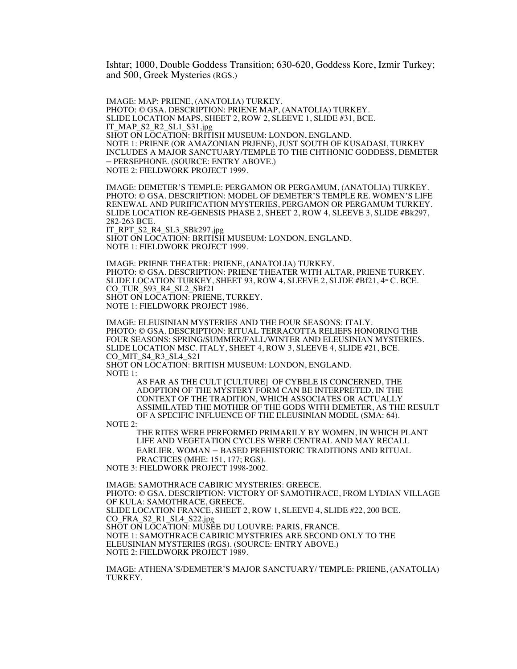Ishtar; 1000, Double Goddess Transition; 630-620, Goddess Kore, Izmir Turkey; and 500, Greek Mysteries (RGS.)

IMAGE: MAP: PRIENE, (ANATOLIA) TURKEY. PHOTO: © GSA. DESCRIPTION: PRIENE MAP, (ANATOLIA) TURKEY. SLIDE LOCATION MAPS, SHEET 2, ROW 2, SLEEVE 1, SLIDE #31, BCE. IT\_MAP\_S2\_R2\_SL1\_S31.jpg SHOT ON LOCATION: BRITISH MUSEUM: LONDON, ENGLAND. NOTE 1: PRIENE (OR AMAZONIAN PRJENE), JUST SOUTH OF KUSADASI, TURKEY INCLUDES A MAJOR SANCTUARY/TEMPLE TO THE CHTHONIC GODDESS, DEMETER – PERSEPHONE. (SOURCE: ENTRY ABOVE.) NOTE 2: FIELDWORK PROJECT 1999.

IMAGE: DEMETER'S TEMPLE: PERGAMON OR PERGAMUM, (ANATOLIA) TURKEY. PHOTO: © GSA. DESCRIPTION: MODEL OF DEMETER'S TEMPLE RE. WOMEN'S LIFE RENEWAL AND PURIFICATION MYSTERIES, PERGAMON OR PERGAMUM TURKEY. SLIDE LOCATION RE-GENESIS PHASE 2, SHEET 2, ROW 4, SLEEVE 3, SLIDE #Bk297, 282-263 BCE.

IT\_RPT\_S2\_R4\_SL3\_SBk297.jpg SHOT ON LOCATION: BRITISH MUSEUM: LONDON, ENGLAND. NOTE 1: FIELDWORK PROJECT 1999.

IMAGE: PRIENE THEATER: PRIENE, (ANATOLIA) TURKEY. PHOTO: © GSA. DESCRIPTION: PRIENE THEATER WITH ALTAR, PRIENE TURKEY. SLIDE LOCATION TURKEY, SHEET 93, ROW 4, SLEEVE 2, SLIDE #Bf21,  $4<sup>m</sup>$  C. BCE. CO\_TUR\_S93\_R4\_SL2\_SBf21 SHOT ON LOCATION: PRIENE, TURKEY. NOTE 1: FIELDWORK PROJECT 1986.

IMAGE: ELEUSINIAN MYSTERIES AND THE FOUR SEASONS: ITALY. PHOTO: © GSA. DESCRIPTION: RITUAL TERRACOTTA RELIEFS HONORING THE FOUR SEASONS: SPRING/SUMMER/FALL/WINTER AND ELEUSINIAN MYSTERIES. SLIDE LOCATION MSC. ITALY, SHEET 4, ROW 3, SLEEVE 4, SLIDE #21, BCE. CO\_MIT\_S4\_R3\_SL4\_S21 SHOT ON LOCATION: BRITISH MUSEUM: LONDON, ENGLAND.

NOTE 1:

AS FAR AS THE CULT [CULTURE] OF CYBELE IS CONCERNED, THE ADOPTION OF THE MYSTERY FORM CAN BE INTERPRETED, IN THE CONTEXT OF THE TRADITION, WHICH ASSOCIATES OR ACTUALLY ASSIMILATED THE MOTHER OF THE GODS WITH DEMETER, AS THE RESULT OF A SPECIFIC INFLUENCE OF THE ELEUSINIAN MODEL (SMA: 64).

NOTE 2:

THE RITES WERE PERFORMED PRIMARILY BY WOMEN, IN WHICH PLANT LIFE AND VEGETATION CYCLES WERE CENTRAL AND MAY RECALL EARLIER, WOMAN – BASED PREHISTORIC TRADITIONS AND RITUAL PRACTICES (MHE: 151, 177; RGS).

NOTE 3: FIELDWORK PROJECT 1998-2002.

IMAGE: SAMOTHRACE CABIRIC MYSTERIES: GREECE. PHOTO: © GSA. DESCRIPTION: VICTORY OF SAMOTHRACE, FROM LYDIAN VILLAGE OF KULA: SAMOTHRACE, GREECE. SLIDE LOCATION FRANCE, SHEET 2, ROW 1, SLEEVE 4, SLIDE #22, 200 BCE. CO\_FRA\_S2\_R1\_SL4\_S22.jpg SHOT ON LOCATION: MUSÉE DU LOUVRE: PARIS, FRANCE. NOTE 1: SAMOTHRACE CABIRIC MYSTERIES ARE SECOND ONLY TO THE ELEUSINIAN MYSTERIES (RGS). (SOURCE: ENTRY ABOVE.) NOTE 2: FIELDWORK PROJECT 1989.

IMAGE: ATHENA'S/DEMETER'S MAJOR SANCTUARY/ TEMPLE: PRIENE, (ANATOLIA) TURKEY.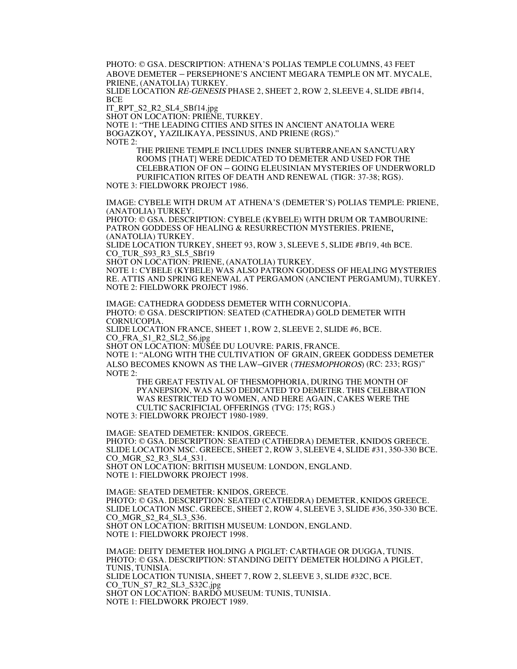PHOTO: © GSA. DESCRIPTION: ATHENA'S POLIAS TEMPLE COLUMNS, 43 FEET ABOVE DEMETER – PERSEPHONE'S ANCIENT MEGARA TEMPLE ON MT. MYCALE, PRIENE, (ANATOLIA) TURKEY.

SLIDE LOCATION RE-GENESIS PHASE 2, SHEET 2, ROW 2, SLEEVE 4, SLIDE #Bf14, BCE

IT\_RPT\_S2\_R2\_SL4\_SBf14.jpg

SHOT ON LOCATION: PRIENE, TURKEY.

NOTE 1: "THE LEADING CITIES AND SITES IN ANCIENT ANATOLIA WERE BOGAZKOY, YAZILIKAYA, PESSINUS, AND PRIENE (RGS)." NOTE 2:

THE PRIENE TEMPLE INCLUDES INNER SUBTERRANEAN SANCTUARY ROOMS [THAT] WERE DEDICATED TO DEMETER AND USED FOR THE CELEBRATION OF ON – GOING ELEUSINIAN MYSTERIES OF UNDERWORLD PURIFICATION RITES OF DEATH AND RENEWAL (TIGR: 37-38; RGS).

NOTE 3: FIELDWORK PROJECT 1986.

IMAGE: CYBELE WITH DRUM AT ATHENA'S (DEMETER'S) POLIAS TEMPLE: PRIENE, (ANATOLIA) TURKEY.

PHOTO: © GSA. DESCRIPTION: CYBELE (KYBELE) WITH DRUM OR TAMBOURINE: PATRON GODDESS OF HEALING & RESURRECTION MYSTERIES. PRIENE, (ANATOLIA) TURKEY.

SLIDE LOCATION TURKEY, SHEET 93, ROW 3, SLEEVE 5, SLIDE #Bf19, 4th BCE. CO\_TUR\_S93\_R3\_SL5\_SBf19

SHOT ON LOCATION: PRIENE, (ANATOLIA) TURKEY.

NOTE 1: CYBELE (KYBELE) WAS ALSO PATRON GODDESS OF HEALING MYSTERIES RE. ATTIS AND SPRING RENEWAL AT PERGAMON (ANCIENT PERGAMUM), TURKEY. NOTE 2: FIELDWORK PROJECT 1986.

IMAGE: CATHEDRA GODDESS DEMETER WITH CORNUCOPIA. PHOTO: © GSA. DESCRIPTION: SEATED (CATHEDRA) GOLD DEMETER WITH CORNUCOPIA.

SLIDE LOCATION FRANCE, SHEET 1, ROW 2, SLEEVE 2, SLIDE #6, BCE. CO\_FRA\_S1\_R2\_SL2\_S6.jpg

SHOT ON LOCATION: MUSÉE DU LOUVRE: PARIS, FRANCE.

NOTE 1: "ALONG WITH THE CULTIVATION OF GRAIN, GREEK GODDESS DEMETER ALSO BECOMES KNOWN AS THE LAW–GIVER (THESMOPHOROS) (RC: 233; RGS)" NOTE 2:

THE GREAT FESTIVAL OF THESMOPHORIA, DURING THE MONTH OF PYANEPSION, WAS ALSO DEDICATED TO DEMETER. THIS CELEBRATION WAS RESTRICTED TO WOMEN, AND HERE AGAIN, CAKES WERE THE CULTIC SACRIFICIAL OFFERINGS (TVG: 175; RGS.)

NOTE 3: FIELDWORK PROJECT 1980-1989.

IMAGE: SEATED DEMETER: KNIDOS, GREECE. PHOTO: © GSA. DESCRIPTION: SEATED (CATHEDRA) DEMETER, KNIDOS GREECE. SLIDE LOCATION MSC. GREECE, SHEET 2, ROW 3, SLEEVE 4, SLIDE #31, 350-330 BCE. CO\_MGR\_S2\_R3\_SL4\_S31. SHOT ON LOCATION: BRITISH MUSEUM: LONDON, ENGLAND. NOTE 1: FIELDWORK PROJECT 1998.

IMAGE: SEATED DEMETER: KNIDOS, GREECE. PHOTO: © GSA. DESCRIPTION: SEATED (CATHEDRA) DEMETER, KNIDOS GREECE. SLIDE LOCATION MSC. GREECE, SHEET 2, ROW 4, SLEEVE 3, SLIDE #36, 350-330 BCE. CO\_MGR\_S2\_R4\_SL3\_S36. SHOT ON LOCATION: BRITISH MUSEUM: LONDON, ENGLAND. NOTE 1: FIELDWORK PROJECT 1998.

IMAGE: DEITY DEMETER HOLDING A PIGLET: CARTHAGE OR DUGGA, TUNIS. PHOTO: © GSA. DESCRIPTION: STANDING DEITY DEMETER HOLDING A PIGLET, TUNIS, TUNISIA. SLIDE LOCATION TUNISIA, SHEET 7, ROW 2, SLEEVE 3, SLIDE #32C, BCE. CO\_TUN\_S7\_R2\_SL3\_S32C.jpg SHOT ON LOCATION: BARDO MUSEUM: TUNIS, TUNISIA. NOTE 1: FIELDWORK PROJECT 1989.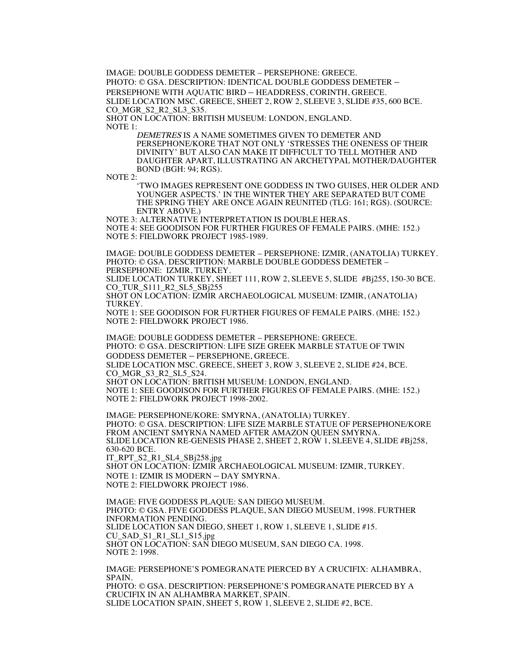IMAGE: DOUBLE GODDESS DEMETER – PERSEPHONE: GREECE. PHOTO: © GSA. DESCRIPTION: IDENTICAL DOUBLE GODDESS DEMETER – PERSEPHONE WITH AQUATIC BIRD – HEADDRESS, CORINTH, GREECE. SLIDE LOCATION MSC. GREECE, SHEET 2, ROW 2, SLEEVE 3, SLIDE #35, 600 BCE. CO\_MGR\_S2\_R2\_SL3\_S35. SHOT ON LOCATION: BRITISH MUSEUM: LONDON, ENGLAND.

NOTE 1:

DEMETRES IS A NAME SOMETIMES GIVEN TO DEMETER AND PERSEPHONE/KORE THAT NOT ONLY 'STRESSES THE ONENESS OF THEIR DIVINITY' BUT ALSO CAN MAKE IT DIFFICULT TO TELL MOTHER AND DAUGHTER APART, ILLUSTRATING AN ARCHETYPAL MOTHER/DAUGHTER BOND (BGH: 94; RGS).

NOTE 2:

'TWO IMAGES REPRESENT ONE GODDESS IN TWO GUISES, HER OLDER AND YOUNGER ASPECTS.' IN THE WINTER THEY ARE SEPARATED BUT COME THE SPRING THEY ARE ONCE AGAIN REUNITED (TLG: 161; RGS). (SOURCE: ENTRY ABOVE.)

NOTE 3: ALTERNATIVE INTERPRETATION IS DOUBLE HERAS.

NOTE 4: SEE GOODISON FOR FURTHER FIGURES OF FEMALE PAIRS. (MHE: 152.) NOTE 5: FIELDWORK PROJECT 1985-1989.

IMAGE: DOUBLE GODDESS DEMETER – PERSEPHONE: IZMIR, (ANATOLIA) TURKEY. PHOTO: © GSA. DESCRIPTION: MARBLE DOUBLE GODDESS DEMETER – PERSEPHONE: IZMIR, TURKEY.

SLIDE LOCATION TURKEY, SHEET 111, ROW 2, SLEEVE 5, SLIDE #Bj255, 150-30 BCE. CO\_TUR\_S111\_R2\_SL5\_SBj255

SHOT ON LOCATION: IZMIR ARCHAEOLOGICAL MUSEUM: IZMIR, (ANATOLIA) **TURKEY** 

NOTE 1: SEE GOODISON FOR FURTHER FIGURES OF FEMALE PAIRS. (MHE: 152.) NOTE 2: FIELDWORK PROJECT 1986.

IMAGE: DOUBLE GODDESS DEMETER – PERSEPHONE: GREECE. PHOTO: © GSA. DESCRIPTION: LIFE SIZE GREEK MARBLE STATUE OF TWIN GODDESS DEMETER – PERSEPHONE, GREECE. SLIDE LOCATION MSC. GREECE, SHEET 3, ROW 3, SLEEVE 2, SLIDE #24, BCE. CO\_MGR\_S3\_R2\_SL5\_S24. SHOT ON LOCATION: BRITISH MUSEUM: LONDON, ENGLAND.

NOTE 1: SEE GOODISON FOR FURTHER FIGURES OF FEMALE PAIRS. (MHE: 152.) NOTE 2: FIELDWORK PROJECT 1998-2002.

IMAGE: PERSEPHONE/KORE: SMYRNA, (ANATOLIA) TURKEY. PHOTO: © GSA. DESCRIPTION: LIFE SIZE MARBLE STATUE OF PERSEPHONE/KORE FROM ANCIENT SMYRNA NAMED AFTER AMAZON QUEEN SMYRNA. SLIDE LOCATION RE-GENESIS PHASE 2, SHEET 2, ROW 1, SLEEVE 4, SLIDE #Bj258, 630-620 BCE. IT\_RPT\_S2\_R1\_SL4\_SBj258.jpg SHOT ON LOCATION: IZMIR ARCHAEOLOGICAL MUSEUM: IZMIR, TURKEY. NOTE 1: IZMIR IS MODERN – DAY SMYRNA.

NOTE 2: FIELDWORK PROJECT 1986.

IMAGE: FIVE GODDESS PLAQUE: SAN DIEGO MUSEUM. PHOTO: © GSA. FIVE GODDESS PLAQUE, SAN DIEGO MUSEUM, 1998. FURTHER INFORMATION PENDING. SLIDE LOCATION SAN DIEGO, SHEET 1, ROW 1, SLEEVE 1, SLIDE #15. CU\_SAD\_S1\_R1\_SL1\_S15.jpg SHOT ON LOCATION: SAN DIEGO MUSEUM, SAN DIEGO CA. 1998. NOTE 2: 1998.

IMAGE: PERSEPHONE'S POMEGRANATE PIERCED BY A CRUCIFIX: ALHAMBRA, SPAIN. PHOTO: © GSA. DESCRIPTION: PERSEPHONE'S POMEGRANATE PIERCED BY A CRUCIFIX IN AN ALHAMBRA MARKET, SPAIN. SLIDE LOCATION SPAIN, SHEET 5, ROW 1, SLEEVE 2, SLIDE #2, BCE.